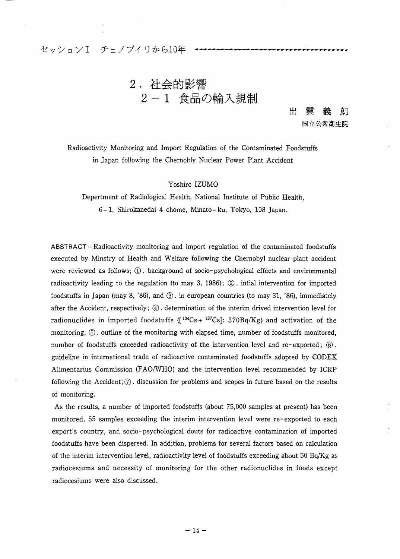## セッション I チェノブイリから10年

# 2. 社会的影響 2-1 食品の輸入規制

**'+»•+•++••+••+ «•\*«**

**t-U** 雲 朗 義 国立公衆衛生院

Radioactivity Monitoring and Import Regulation of the Contaminated Foodstuffs in Japan following the Chernobly Nuclear Power Plant Accident

Yoshiro IZUMO

Depertment of Radiological Health, National Institute of Public Health, 6-1 , Shirokanedai 4 chome, Minato-ku, Tokyo, 108 Japan.

ABSTRACT-Radioactivity monitoring and import regulation of the contaminated foodstuffs executed by Minstry of Health and Welfare following the Chernobyl nuclear plant accident were reviewed as follows; © . background of socio-psychological effects and environmental radioactivity leading to the regulation (to may 3, 1986);  $\oslash$  initial intervention for imported foodstuffs in Japan (may 8, '86), and  $\circled{3}$ . in european countries (to may 31, '86), immediately after the Accident, respectively;  $\circled{4}$ . determination of the interim drived intervention level for radionuclides in imported foodstuffs ([ $^{134}Cs + {^{137}Cs}$ ]:  $370Bq/Kg$ ) and activation of the monitoring,  $\circled{5}$ . outline of the monitoring with elapsed time, number of foodstuffs monitored, number of foodstuffs exceeded radioactivity of the intervention level and re-exported; (6). guideline in international trade of radioactive contaminated foodstuffs adopted by CODEX Alimentarius Commission (FAO/WHO) and the intervention level recommended by ICRP following the Accident; $\circled{T}$ , discussion for problems and scopes in future based on the results of monitoring.

As the results, a number of imported foodstuffs (about 75,000 samples at present) has been monitored, 55 samples exceeding the interim intervention level were re-exported to each export's country, and socio-psychological douts for radioactive contamination of imported foodstuffs have been dispersed. In addition, problems for several factors based on calculation of the interim intervention level, radioactivity level of foodstuffs exceeding about 50 Bq/Kg as radiocesiums and necessity of monitoring for the other radionuclides in foods except radiocesiums were also discussed.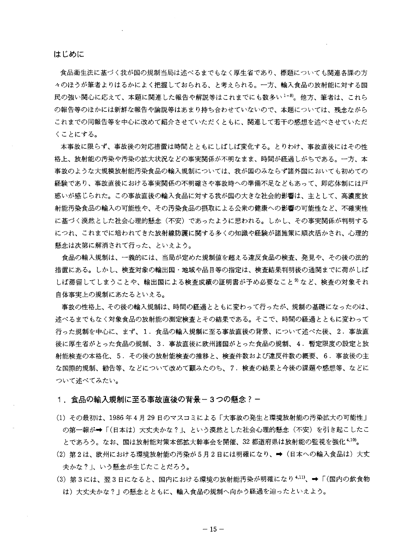#### はじめに

食品衛生法に基づく我が国の規制当局は述べるまでもなく厚生省であり、標題についても関連各課の方 々のほうが筆者よりはるかによく把握しておられる、と考えられる。一方、輸入食品の放射能に対する国 民の強い関心に応えて、本題に関連した報告や解説等はこれまでにも数多い<sup>1-8</sup>。他方、筆者は、これら の報告等のほかには新鮮な報告や論説等はあまり持ち合わせていないので、本題については、残念ながら これまでの同報告等を中心に改めて紹介させていただくともに、関連して若干の感想を述べさせていただ くことにする。

本事故に限らず、事故後の対応措置は時間とともにしばしば変化する。とりわけ、事故直後にはその性 格上、放射能の汚染や汚染の拡大状況などの事実関係が不明なまま、時間が経過しがちである。一方、本 事故のような大規模放射能汚染食品の輸入規制については、我が国のみならず諸外国においても初めての 経験であり、事故直後における事実関係の不明確さや事故時への準備不足などもあって、即応体制には戸 惑いが感じられた。この事故直後の輪入食品に対する我が国の大きな社会的影響は、主として、高濃度放 射能汚染食品の輸入の可能性や、その汚染食品の摂取による公衆の健康への影響の可能性など、不確実性 に基づく漠然とした社会心理的懸念(不安)であったように思われる。しかし、その事実関係が判明する につれ、これまでに培われてきた放射線防護に関する多くの知識や経験が諸施策に順次活かされ、心理的 懸念は次第に解消されて行った、といえよう。

食品の輸入規制は、一義的には、当局が定めた規制値を超える違反食品の検査、発見や、その後の法的 措置にある。しかし、検査対象の輸出国・地域や品目等の指定は、検査結果判明後の通関までに荷がしば しば滞留してしまうことや、輸出国による検査成績の証明書が予め必要なこと<sup>99</sup>など、検査の対象それ 自体事実上の規制にあたるといえる。

事故の性格上、その後の輸入規制は、時間の経過とともに変わって行ったが、規制の基礎になったのは、 述べるまでもなく対象食品の放射能の測定検査とその結果である。そこで、時間の経過とともに変わって 行った規制を中心に、まず、1. 食品の輪入規制に至る事故直後の背景、について述べた後、2. 事故直 後に厚生省がとった食品の規制、3.事故直後に欧州諸国がとった食品の規制、4.暫定限度の設定と放 射能検査の本格化、5.その後の放射能検査の推移と、検査件数および違反件数の概要、6.事故後の主 な国際的規制、勧告等、などについて改めて顧みたのち、7. 検査の結果と今後の課題や感想等、などに ついて述べてみたい。

#### 1.食品の輸入規制に至る事故直後の背景-3つの懸念?-

- (1) その最初は、1986年4月29日のマスコミによる「大事故の発生と環境放射能の汚染拡大の可能性」 の第一報が→「(日本は) 大丈夫かな?」、という漠然とした社会心理的懸念(不安)を引き起こしたこ とであろう。なお、国は放射能対策本部拡大幹事会を開催、32 都道府県は放射能の監視を強化4,10。
- (2)第2は、欧州における環境放射能の汚染が5月2日には明確になり、➡(日本への輸入食品は)大丈 夫かな?」、いう懸念が生じたことだろう。
- (3) 第3には、翌3日になると、国内における環境の放射能汚染が明確になり4,11)、→「(国内の飲食物 は)大丈夫かな?」の懸念とともに、輸入食品の規制へ向かう経過を辿ったといえよう。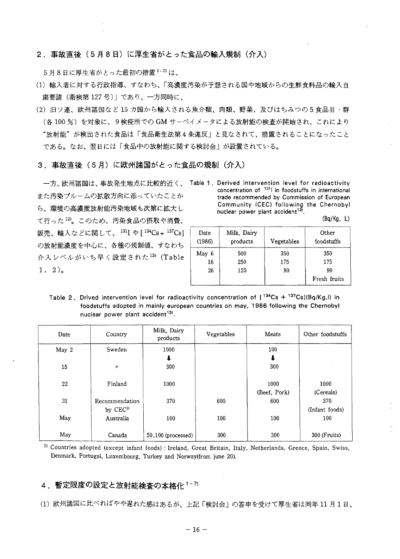### 2. 事故直後 (5月8日) に厚生省がとった食品の輸入規制 (介入)

5月8日に厚生省がとった最初の措置1-7は、

- (1) 輸入者に対する行政指導、すなわち、「高濃度汚染が予想される国や地域からの生鮮食料品の輸入自 粛要請 (衛検第127号)」であり、一方同時に、
- (2) 旧ソ連、欧州諸国など15 カ国から輸入される魚介類、肉類、野菜、及びはちみつの5食品目·群 (各100%)を対象に、9検疫所での GM サーベイメータによる放射能の検査が開始され、これにより "放射能"が検出された食品は「食品衛生法第4条違反」と見なされて、措置されることになったこと である。なお、翌日には「食品中の放射能に関する検討会」が設置されている。
- **3. 事故直後(5月)に欧州諸国がとった食品の規制(介入)**

また汚染プルームの拡散方向に添っていたことか ら、環境の高濃度放射能汚染地域も次第に拡大し て行った12)。このため、汚染食品の摂取や消費、  $^{134}$ Cs +  $^{137}$ Cs] の放射能濃度を中心に、各種の規制値、すなわち  $t<sup>13)</sup>$  (Table  $1, 2)$ <sub>0</sub>

一方、欧州諸国は、事故発生地点に比較的近く、 Table 1. Derived intervention level for radioactivity concentration of <sup>131</sup>l in foodstuffs in international trade recommended by Commission of European Community (CEC) following the Chernobyl nuclear power plant accident<sup>131</sup>.

**(Bq/Kg, L)**

| Date   | Milk, Dairy | Vegetables | Other        |
|--------|-------------|------------|--------------|
| (1986) | products    |            | foodstuffs   |
| May 6  | 500         | 350        | 350          |
| 16     | 250         | 175        | 175          |
| 26     | 125         | 90         | 90           |
|        |             |            | Fresh fruits |

Table 2. Drived intervention level for radioactivity concentration of  $[134Cs + 137Cs](Bq/Kg, I)$  in foodstuffs adopted in mainly european countries on may, 1986 following the Chernobyl nuclear power plant accident<sup>13)</sup>.

| Date  | Country              | Milk, Dairy<br>products | Vegetables | Meats                | Other foodstuffs |
|-------|----------------------|-------------------------|------------|----------------------|------------------|
| May 2 | Sweden               | 1000                    |            | 100                  |                  |
|       |                      |                         |            | $\ddot{\phantom{a}}$ |                  |
| 15    | $^{\prime\prime}$    | 300                     |            | 300                  |                  |
|       |                      |                         |            |                      |                  |
| 22    | Finland              | 1000                    |            | 1000                 | 1000             |
|       |                      |                         |            | (Beef, Pork)         | (Cereals)        |
| 31    | Recommendation       | 370                     | 600        | 600                  | 370              |
|       | by CEC <sup>1)</sup> |                         |            |                      | (Infant foods)   |
| May   | Australia            | 100                     | 100        | 100                  | 100              |
|       |                      |                         |            |                      |                  |
| May   | Canada               | $50,100$ (processed)    | 300        | 300                  | 300 (Fruits)     |

*l)* Countries adopted (except infant foods) : Ireland, Great Britain, Italy, Netherlands, Greece, Spain, Swiss, Denmark, Portugal, Luxembourg, Turkey and Norway(from june 20).

#### 4. 暫定限度の設定と放射能検査の本格化<sup>1-7)</sup>

(1) 欧州諸国に比べればやや遅れた感はあるが、上記「検討会」の答申を受けて厚生省は同年11月1日、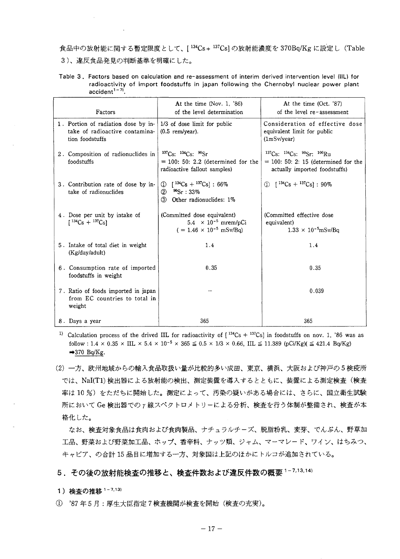## 食品中の放射能に関する暫定限度として、[<sup>134</sup>Cs+<sup>137</sup>Cs]の放射能濃度を 370Bq/Kg に設定し (Table

## 3)、違反食品発見の判断基準を明確にした。

Table 3. Factors based on calculation and re-assessment of interim derived intervention level (IIL) for radioactivity of import foodstuffs in japan following the Chernobyl nuclear power plant  $\mathrm{accident}^{1-7!}.$ 

| Factors                                                                                  | At the time $(Nov. 1, '86)$<br>of the level determination                                                                       | At the time (Oct. '87)<br>of the level re-assessment                                                                                                 |
|------------------------------------------------------------------------------------------|---------------------------------------------------------------------------------------------------------------------------------|------------------------------------------------------------------------------------------------------------------------------------------------------|
| 1. Portion of radiation dose by in-<br>take of radioactive contamina-<br>tion foodstuffs | 1/3 of dose limit for public<br>$(0.5$ rem/year).                                                                               | Consideration of effective dose<br>equivalent limit for public<br>(1 <sub>m</sub> Sv/year)                                                           |
| 2. Composition of radionuclides in<br>foodstuffs                                         | <sup>137</sup> Cs: <sup>134</sup> Cs: <sup>90</sup> Sr<br>$= 100$ : 50: 2.2 (determined for the<br>radioactive fallout samples) | <sup>137</sup> Cs: <sup>134</sup> Cs: <sup>90</sup> Sr: <sup>106</sup> Ru<br>$= 100: 50: 2: 15$ (determined for the<br>actually imported foodstuffs) |
| 3. Contribution rate of dose by in-<br>take of radionuclides                             | 134Cs + $137C$ s] : 66%<br>$^{90}$ Sr : 33%<br>$\circled{2}$<br>Other radionuclides: 1%<br>3                                    | $\textcircled{1}$ [ <sup>134</sup> Cs + <sup>137</sup> Cs] : 90%                                                                                     |
| 4. Dose per unit by intake of<br>$[134Cs + 137Cs]$                                       | (Committed dose equivalent)<br>$5.4 \times 10^{-5}$ mrem/pCi<br>$( = 1.46 \times 10^{-5} \text{ mSv/Bq} )$                      | (Committed effective dose<br>equivalent)<br>$1.33 \times 10^{-5}$ mSv/Bq                                                                             |
| 5. Intake of total diet in weight<br>(Kg/day/adult)                                      | 1.4                                                                                                                             | 1.4                                                                                                                                                  |
| 6. Consumption rate of imported<br>foodstuffs in weight                                  | 0.35                                                                                                                            | 0.35                                                                                                                                                 |
| 7. Ratio of foods imported in japan<br>from EC countries to total in<br>weight           |                                                                                                                                 | 0.039                                                                                                                                                |
| 8. Days a year                                                                           | 365                                                                                                                             | 365                                                                                                                                                  |

<sup>1)</sup> Calculation process of the drived IIL for radioactivity of  $[134Cs + 137Cs]$  in foodstuffs on nov. 1, '86 was as  $\text{follow}: 1.4 \times 0.35 \times \text{HL} \times 5.4 \times 10^{-5} \times 365 \leq 0.5 \times 1/3 \times 0.66, \text{ IIL} \leq 11.389 \text{ (pCi/Kg)} \leq 421.4 \text{ Bq/Kg}$  $\rightarrow$ 370 Bq/Kg.

(2) 一方、欧州地域からの輪入食品取扱い量が比較的多い成田、東京、横浜、大阪および神戸の5検疫所 では、NaI(T1)検出器による放射能の検出、測定装置を導入するとともに、装置による測定検査(検査 率は10%)をただちに開始した。測定によって、汚染の疑いがある場合には、さらに、国立衛生試験 所において Ge 検出器でのr線スペクトロメトリーによる分析、検査を行う体制が整備され、検査が本 格化した。

なお、検査対象食品は食肉および食肉製品、ナチュラルチーズ、脱脂粉乳、麦芽、でんぷん、野草加 -品、野菜および野菜加工品、ホップ、香辛料、ナッツ類、ジャム、マーマレー<mark>ド</mark>、 キャビア、の合計15品目に増加する一方、対象国は上記のほかにトルコが追加されている。

## 5. その後の放射能検査の推移と、検査件数および違反件数の概要<sup>1-7,13,14)</sup>

1) 検査の推移 <sup>1-7.13)</sup>

① '87 年5月:厚生大臣指定7検査機関が検査を開始(検査の充実)。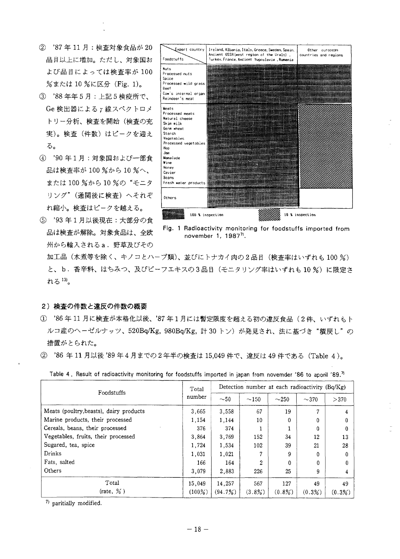- '87 *%-* 11 *ft* : **20** 品目以上に増加。ただし、対象国お よび品目によっては検査率が100 %または 10 %に区分 (Fig. 1)。
- $(3)$  '88 年年5月: 上記5 検疫所で、 Ge 検出器による r 線スペクトロメ トリー分析、検査を開始(検査の充 実)。検査(件数)はピークを迎え る。
- **4 '90年1月:対象国および一部食** 品は検査率が 100 %から 10 %へ、 または 100 %から 10 %の "モニタ リング"(通関後に検査)へそれぞ れ縮小。検査はピークを越える。
- 5 '93年1月以後現在:大部分の食 品は検査が解除。対象食品は、全欧 州から輸入されるa. 野草及びその



Fig. 1 Radioactivity monitoring for foodstuffs imported from november 1, 1987<sup>71</sup>.

加工品(水煮等を除く、キノコとハーブ類)、並びにトナカイ肉の2品目(検査率はいずれも100%) と、b. 香辛料、はちみつ、及びビーフエキスの3品目 (モニタリング率はいずれも10%)に限定さ れる13)。

- 2) 検査の件数と違反の件数の概要
- 1 '86年11月に検査が本格化以後、'87年1月には暫定限度を超える初の違反食品(2件、いずれもト ルコ産のヘーゼルナッツ、520Bq/Kg, 980Bq/Kg, 計 30 トン)が発見され、法に基づき"積戻し"の 措置がとられた。
- **© '86** 15,049 **49** (Table4)<sup>o</sup>

|  |  | Table 4 , Result of radioactivity monitoring for foodstuffs imported in japan from novemder '86 to aporil '89. <sup>7</sup> |  |  |  |  |  |  |  |  |  |  |  |
|--|--|-----------------------------------------------------------------------------------------------------------------------------|--|--|--|--|--|--|--|--|--|--|--|
|--|--|-----------------------------------------------------------------------------------------------------------------------------|--|--|--|--|--|--|--|--|--|--|--|

| Foodstuffs                              | Total     | Detection number at each radioactivity (Bq/Kg) |            |            |            |        |  |
|-----------------------------------------|-----------|------------------------------------------------|------------|------------|------------|--------|--|
|                                         | number    | $\sim$ 50                                      | $\sim$ 150 | $\sim$ 250 | $\sim$ 370 | >370   |  |
| Meats (poultry, beasts), dairy products | 3,665     | 3.558                                          | 67         | 19         | 7          | 4      |  |
| Marine products, their processed        | 1,154     | 1.144                                          | 10         | $\Omega$   | 0          |        |  |
| Cereals, beans, their processed         | 376       | 374                                            |            |            | 0          | 0      |  |
| Vegetables, fruits, their processed     | 3.864     | 3,769                                          | 152        | 34         | 12         | 13     |  |
| Sugared, tea, spice                     | 1.724     | 1,534                                          | 102        | 39         | 21         | 28     |  |
| Drinks                                  | 1,031     | 1.021                                          | 7          | 9          | 0          |        |  |
| Fats, salted                            | 166       | 164                                            | 2          | 0          | 0          |        |  |
| Others                                  | 3.079     | 2.883                                          | 226        | 25         | 9          | 4      |  |
| Total                                   | 15,049    | 14,257                                         | 567        | 127        | 49         | 49     |  |
| (rate, $\%$ )                           | $(100\%)$ | (94.7%)                                        | (3.8%)     | (0.8%      | (0.3%)     | (0.3%) |  |

7) paritially modified.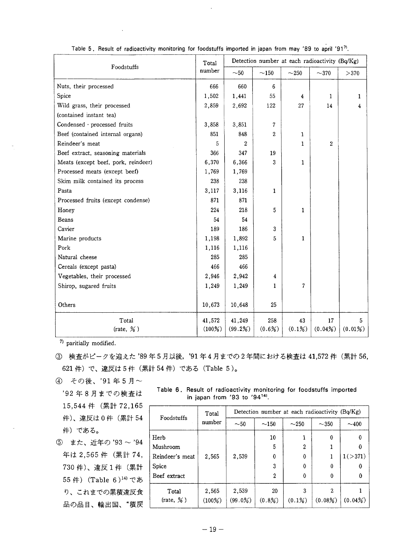| Detection number at each radioactivity (Bq/Kg) |                          |                         |                |                              |  |
|------------------------------------------------|--------------------------|-------------------------|----------------|------------------------------|--|
| $\sim$ 50                                      | $\sim$ 150               | $\sim$ 250              | $-370$         | >370                         |  |
| 660                                            | 6                        |                         |                |                              |  |
| 1,441                                          | 55                       | $\overline{\mathbf{4}}$ | $\mathbf{1}$   | 1                            |  |
| 2,692                                          | 122                      | 27                      | 14             | 4                            |  |
|                                                |                          |                         |                |                              |  |
| 3,851                                          | $\overline{\mathcal{L}}$ |                         |                |                              |  |
| 848                                            | 2                        | 1                       |                |                              |  |
| $\overline{2}$                                 |                          | $\mathbf{1}$            | $\overline{c}$ |                              |  |
| 347                                            | 19                       |                         |                |                              |  |
| 6,366                                          | 3                        | $\mathbf{1}$            |                |                              |  |
| 1,769                                          |                          |                         |                |                              |  |
| 238                                            |                          |                         |                |                              |  |
| 3,116                                          | 1                        |                         |                |                              |  |
| 871                                            |                          |                         |                |                              |  |
| 218                                            | 5                        | 1                       |                |                              |  |
| 54                                             |                          |                         |                |                              |  |
| 186                                            | 3                        |                         |                |                              |  |
| 1,892                                          | 5                        | 1                       |                |                              |  |
| 1,116                                          |                          |                         |                |                              |  |
| 285                                            |                          |                         |                |                              |  |
| 466                                            |                          |                         |                |                              |  |
| 2,942                                          | 4                        |                         |                |                              |  |
| 1,249                                          | $\mathbf{1}$             | $\overline{7}$          |                |                              |  |
| 10,648                                         | 25                       |                         |                |                              |  |
| 41,249                                         | 258                      | 43                      | 17             | 5 <sup>5</sup><br>$(0.01\%)$ |  |
|                                                | (99.2%)                  | $(0.6\%)$               | (0.1%)         | $(0.04\%)$                   |  |

|  | Table 5. Result of radioactivity monitoring for foodstuffs imported in japan from may '89 to april '917'. |  |  |  |  |  |  |
|--|-----------------------------------------------------------------------------------------------------------|--|--|--|--|--|--|
|  |                                                                                                           |  |  |  |  |  |  |

paritially modified.

621 件)で、違反は 5 件(累計 54 件)である(Table 5 )<mark>。</mark> 年4月までの2年間における検査は 41,572 件(累計 56,

4 その後、'91年5月~

'92年8月までの検査は 15,544 件 (累計 72,165 件)、 違反は0件 (累計 54

件)である。

5 また、近年の '93~'94 年は 2,565 件 (累計 74, 730件)、違反1件(累計 55件) (Table 6)<sup>14)</sup>であ り、これまでの累積違反食 品の品目、輸出国、"積戻 Table 6. Result of radioactivity monitoring for foodstuffs imported in japan from '93 to '94 $^{141}$ .

| Foodstuffs                   | Total     | Detection number at each radioactivity (Bq/Kg) |                  |                  |            |            |  |  |
|------------------------------|-----------|------------------------------------------------|------------------|------------------|------------|------------|--|--|
|                              | number    | $\sim$ 50                                      | $\sim$ 150       | $\sim$ 250       | $~1$ - 350 | $\sim$ 400 |  |  |
| Herb                         |           |                                                | 10               |                  | 0          |            |  |  |
| Mushroom                     |           |                                                | 5                | $\boldsymbol{2}$ |            |            |  |  |
| Reindeer's meat              | 2,565     | 2,539                                          | 0                | 0                |            | 1(>371)    |  |  |
| Spice                        |           |                                                | 3                | 0                | 0          |            |  |  |
| Beef extract                 |           |                                                | $\boldsymbol{2}$ | 0                | 0          | n          |  |  |
| Total                        | 2,565     | 2,539                                          | 20               | 3                | 2          |            |  |  |
| $(\text{rate}, \frac{9}{6})$ | $(100\%)$ | $(99.0\%)$                                     | $(0.8\%)$        | $(0.1\%)$        | (0.08%)    | $(0.04\%)$ |  |  |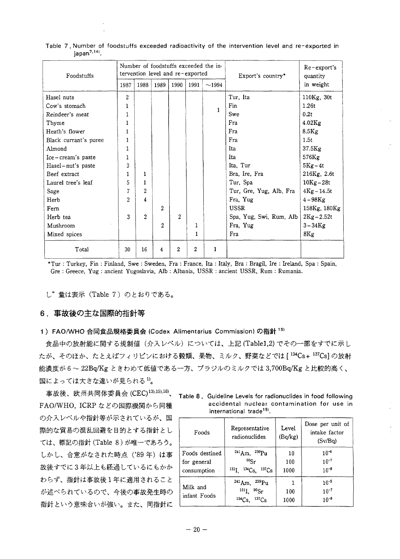| Foodstuffs            |      |      | tervention level and re-exported |      |                  | Number of foodstuffs exceeded the in- | Export's country*       | $Re$ -export's<br>quantity |
|-----------------------|------|------|----------------------------------|------|------------------|---------------------------------------|-------------------------|----------------------------|
|                       | 1987 | 1988 | 1989                             | 1990 | 1991             | $\sim$ 1994                           |                         | in weight                  |
| Hasel nuts            | 2    |      |                                  |      |                  |                                       | Tur, Ita                | $110Kg$ , $30t$            |
| Cow's stomach         | 1    |      |                                  |      |                  | 1                                     | Fin                     | 1.26t                      |
| Reindeer's meat       |      |      |                                  |      |                  |                                       | Swe                     | 0.2t                       |
| Thyme                 | 1    |      |                                  |      |                  |                                       | Fra                     | $4.02$ Kg                  |
| Heath's flower        | 1    |      |                                  |      |                  |                                       | Fra                     | $8.5$ Kg                   |
| Black currant's puree | 1    |      |                                  |      |                  |                                       | Fra                     | 1.5t                       |
| Almond                |      |      |                                  |      |                  |                                       | Ita                     | $37.5$ Kg                  |
| Ice-cream's paste     | 1    |      |                                  |      |                  |                                       | Ita                     | 576Kg                      |
| Hasel-nut's paste     | 3    |      |                                  |      |                  |                                       | Ita, Tur                | $5Kg-4t$                   |
| Beef extract          | 1    | 1.   |                                  |      |                  |                                       | Bra, Ire, Fra           | $216Kg$ , $2.6t$           |
| Laurel tree's leaf    | 5    | 1.   |                                  |      |                  |                                       | Tur, Spa                | $10Kg-28t$                 |
| Sage                  | 7    | 2    |                                  |      |                  |                                       | Tur, Gre, Yug, Alb, Fra | $4Kg - 14.5t$              |
| Herb                  | 2    | 4    |                                  |      |                  |                                       | Fra, Yug                | $4 - 98$ Kg                |
| Fern                  |      |      | 2                                |      |                  |                                       | <b>USSR</b>             | 158Kg, 180Kg               |
| Herb tea              | 3    | 2    |                                  | 2    |                  |                                       | Spa, Yug, Swi, Rum, Alb | $2Kg - 2.52t$              |
| Mushroom              |      |      | 2                                |      | 1                |                                       | Fra, Yug                | $3 - 34$ Kg                |
| Mixed spices          |      |      |                                  |      | 1                |                                       | Fra                     | 8Kg                        |
| Total                 | 30   | 16   | 4                                | 2    | $\boldsymbol{2}$ | 1                                     |                         |                            |

Table 7. Number of foodstuffs exceeded radioactivity of the intervention level and re-exported in japan<sup>7,141</sup>.

\*Tur : Turkey, Fin : Finland, Swe : Sweden, Fra : France, Ita : Italy, Bra : Bragil, Ire : Ireland, Spa : Spain, Gre : Greece, Yug : ancient Yugoslavia, Alb : Albania, USSR : ancient USSR, Rum : Rumania.

し"量は表示 (Table 7) のとおりである。

### 6. 事故後の主な国際的指針等

## 1) FAO/WHO 合同食品規格委員会 (Codex Alimentarius Commission) の指針 15)

食品中の放射能に関する規制値(介入レベル)については、上記(Table1,2)でその一部をすでに示し たが、そのほか、たとえばフィリピンにおける穀類、果物、ミルク、野菜などでは[134Cs+137Cs]の放射 能濃度が6~22Bq/Kg ときわめて低値である一方、ブラジルのミルクでは3,700Bq/Kg と比較的高く、 国によっては大きな違いが見られる1)。

 $(CEC)^{13,15,16}$ FAO/WHO, ICRP などの国際機関から同種 の介入レベルや指針等が示されているが、国 際的な貿易の混乱回避を目的とする指針とし ては、標記の指針 (Table 8) が唯一であろう。 しかし、合意がなされた時点 ('89年)は事 故後すでに3年以上も経過しているにもかか わらず、指針は事故後1年に適用されること が述べられているので、今後の事故発生時の 指針という意味合いが強い。また、同指針に

Table 8 . Guideline Levels for radionuclides in food following accidental nuclear contamination for use in international trade<sup>15)</sup>.

| Foods                                        | Representative<br>radionuclides                                                                  | Level<br>(Bq/kg)  | Dose per unit of<br>intake factor<br>(Sv/Bq) |
|----------------------------------------------|--------------------------------------------------------------------------------------------------|-------------------|----------------------------------------------|
| Foods destined<br>for general<br>consumption | $^{241}$ Am, $^{239}$ Pu<br>90 <sub>5r</sub><br>$^{134}Cs$ ,<br>$^{131}L$ .<br>137C <sub>S</sub> | 10<br>100<br>1000 | $10^{-6}$<br>$10^{-7}$<br>$10^{-8}$          |
| Milk and<br>infant Foods                     | $^{241}$ Am,<br>$^{239}Pu$<br>$^{131}$ I. $^{90}$ Sr<br>$134C_S$<br>137C <sub>S</sub>            | 100<br>1000       | $10^{-5}$<br>$10^{-7}$<br>$10^{-8}$          |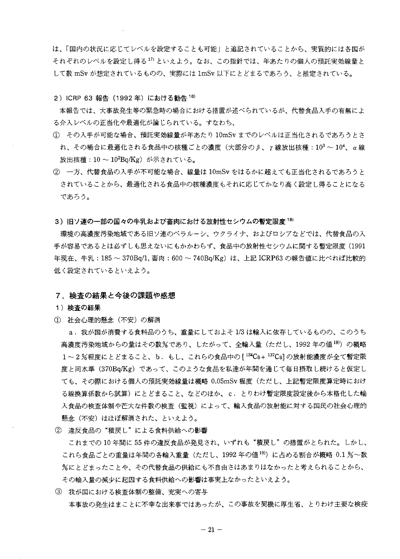は、「国内の状況に応じてレベルを設定することも可能」と追記されていることから、実質的には各国が それぞれのレベルを設定し得る<sup>17)</sup>といえよう。なお、この指針では、年あたりの個人の預託実効線量と して数mSv が想定されているものの、実際には 1mSv 以下にとどまるであろう、と推定されている。

2) ICRP 63 報告 (1992年) における勧告 <sup>16)</sup>

本報告では、大事故発生等の緊急時の場合における措置が述べられているが、代替食品入手の有無によ る介入レベルの正当化や最適化が論じられている。すなわち、

- ① その入手が可能な場合、預託実効線量が年あたり 10mSv までのレベルは正当化されるであろうとさ れ、その場合に最適化される食品中の核種ごとの濃度(大部分のβ、γ線放出核種:1 $0^3 \sim 10^4$ 、α線 放出核種:10 ~ 10<sup>2</sup>Bq/Kg) が示されている。
- ② 一方、代替食品の入手が不可能な場合、線量は 10mSv をはるかに超えても正当化されるであろうと されていることから、最適化される食品中の核種濃度もそれに応じてかなり高く設定し得ることになる であろう。

3)旧ソ連の一部の国々の牛乳および畜肉における放射性セシウムの暫定限度18)

環境の高濃度汚染地域である旧ソ連のベラルーシ、ウクライナ、およびロシアなどでは、代替食品の入 手が容易であるとは必ずしも思えないにもかかわらず、食品中の放射性セシウムに関する暫定限度(1991 年現在、牛乳:185~370Bq/1,畜肉:600~740Bq/Kg)は、上記 ICRP63の報告値に比べれば比較的 低く設定されているといえよう。

#### 7.検査の結果と今後の課題や感想

- 1) 検査の結果
- ① 社会心理的懸念 (不安) の解消

a.我が国が消費する食料品のうち、重量にしておよそ1/3は輸入に依存しているものの、このうち - 高濃度汚染地域からの量はその数%であり、したがって、全輪入量(ただし、1992 年の値 <sup>19</sup>)の概略 1~2%程度にとどまること、b. もし、これらの食品中の「<sup>134</sup>Cs+<sup>137</sup>Cs」の放射能濃度が全て暫定限 度と同水準 (370Bq/Kg) であって、このような食品を私達が年間を通じて毎日摂取し続けると仮定し ても、その際における個人の預託実効線量は概略 0.05mSv 程度(ただし、上記暫定限度算定時におけ る線換算係数から試算)にとどまること、などのほか、c.とりわけ暫定限度設定後から本格化した輸 入食品の検査体制や芒大な件数の検査(監視)によって、輸入食品の放射能に対する国民の社会心理的 懸念(不安)はほぼ解消された、といえよう。

② 違反食品の"積戻し"による食料供給への影響

これまでの10年間に55件の違反食品が発見され、いずれも"積戻し"の措置がとられた。しかし、 これら食品ごとの重量は年間の各輸入重量(ただし、1992年の値19)に占める割合が概略 0.1 %~数 %にとどまったことや、その代替食品の供給にも不自由さはあまりはなかったと考えられることから、 その輸入量の減少に起因する食料供給への影響は事実上なかったといえよう。

③ 我が国における検査体制の整備、充実への寄与

本事故の発生はまことに不幸な出来事ではあったが、この事故を契機に厚生省、とりわけ主要な検疫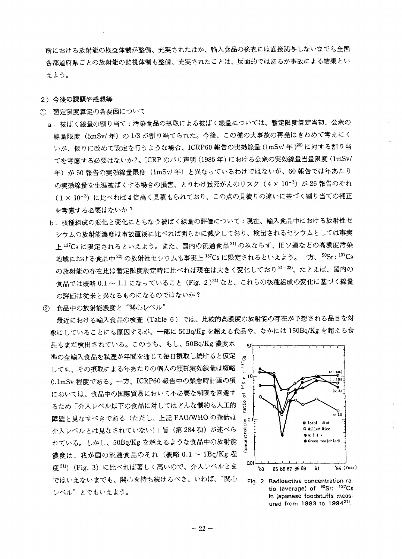所における放射能の検査体制が整備、充実されたほか、輪入食品の検査には直接関与しないまでも全国 各都道府県ごとの放射能の監視体制も整備、充実されたことは、反面的ではあるが事故による結果とい えよう。

#### 2) 今後の課題や感想等

- 1) 暫定限度算定の各要因について
	- a. 被ばく線量の割り当て:汚染食品の摂取による被ばく線量については、暫定限度算定当初、公衆の<br>- 線量限度(5mSv/年)の1/3 が割り当てられた。今後、この種の大事故の再発はきわめて考えにく いが、仮りに改めて設定を行うような場合、ICRP60報告の実効線量(1mSv/年)20)に対する割り当 (1985 年) における公衆の実効線量当量限度 (1mSv/ が 60 報告の実効線量限度(1mSv/ 年)と異なっているわけではないが、60  $(4 \times 10^{-3})$  $(1 \times 10^{-3})$  に を考慮する必要はないか?
		- b. 核種組成の変化と変化にともなう被ばく線量の評価について:現在、輸入食品中における放射性セ シウムの放射能濃度は事故直後に比べれば明らかに減少しており、検出されるセシウムとしては事実 上 <sup>137</sup>Cs に限定されるといえよう。また、国内の流通食品 <sup>21)</sup> のみならず、旧ソ. 一方、  $^{90}\mathrm{Sr}\colon ^{137}\mathrm{Cs}$ の放射能の存在比は暫定限度設定時に比べれば現在は大きく変化しており21-23)、たとえば、国内の 食品では概略 0.1 ~ 1.1 になっていること (Fig. 2)<sup>21)</sup> など、これらの核種組成の変化に基づく線量 の評価は従来と異なるものになるのではないか?
- ② 食品中の放射能濃度と"関心レベル"

最近における輸入食品の検査 (Table 6) では、比較的高濃度の放射能の存在が予想される品目を対 象にしていることにも原因するが、一部に50Bq/Kg を超える食品や、なかには150Bq/Kg を超える食

品もまだ検出されている。このうち、もし、50Bq/Kg 濃度水 準の全輸入食品を私達が年間を通じて毎日摂取し続けると仮定 しても、その摂取による年あたりの個人の預託実効線量は概略 0.1mSv 程度である。一方、ICRP60 報告中の緊急時計画の項 においては、食品中の国際貿易において不必要な制限を回避す るため「介入レベル以下の食品に対してはどんな制約も人工的 障壁と見なすべきである(ただし、上記 FAO/WHO の指針は 介入レベルとは見なされていない)」旨(第284項)が述べら れている。しかし、50Bq/Kg を超えるような食品中の放射能 濃度は、我が国の流通食品のそれ(概略 0.1~1Bq/Kg程 度21) (Fig. 3) に比べれば著しく高いので、介入レベルとま ではいえないまでも、関心を持ち続けるべき、いわば、"関心 レベル"とでもいえよう。



Fig. 2 Radioactive concentration ratio (average) of <sup>90</sup>Sr: <sup>137</sup>Cs in japanese foodstuffs measured from 1983 to 1994 $^{21}$ .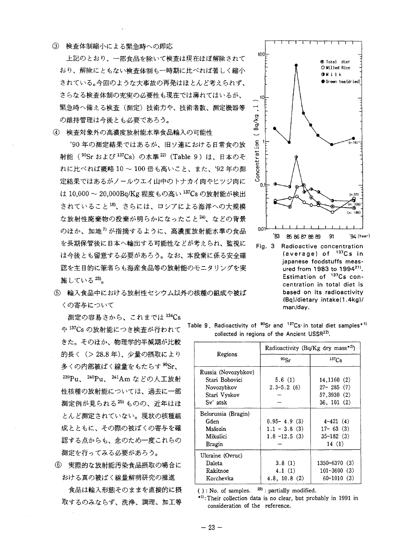③ 検査体制縮小による緊急時への即応

上記のとおり、一部食品を除いて検査は現在ほぼ解除されて り、解除にともない検査体制も一時期に比べれば著しく<br>-<br>-されている。今回のような大事故の再発はほとんど考えられず、 さらなる検査体制の充実の必要性も現在では薄れてはいるが、 緊急時へ備える検査(測定)技術力や、技術者数、測定機器等 の維持管理は今後とも必要であろう。

4 検査対象外の高濃度放射能水準食品輸入の可能性

'90年の測定結果ではあるが、旧ソ連における日常食の放 (<sup>90</sup>Sr および <sup>137</sup>Cs) の水準 <sup>22)</sup> (Table 9) れに比べれば概略10~100倍も高いこと、また、'92年の測 定結果ではあるがノールウエイ山中のトナカイ肉やヒツジ肉に 10,000 〜 20,000Bq/Kg 程度もの高い <sup>137</sup>Cs されていること18)、さらには、ロシアによる海洋への大規模 な放射性廃棄物の投棄が明らかになったこと<sup>24)</sup>、などの背景 のほか、加地<sup>の</sup>が指摘するように、高濃度放射能水準の食品 を長期保管後に日本へ輸出する可能性などが考えられ、監視に は今後とも留意する必要があろう。なお、本投棄に係る安全確 認を主目的に筆者らも海産食品等の放射能のモニタリングを実 施している<sup>25)</sup>。

5 輸入食品中における放射性セシウム以外の核種の組成や被ば くの寄与について

測定の容易さから、これまでは 134Cs や<sup>137</sup>Cs の放射能につき検査が行われて きた。そのほか、物理学的半減期が比較 的長く (> 28.8年)、少量の摂取により 多くの内部被ばく線量をもたらす <sup>90</sup>Sr、  $\sim$   $^{240}Pu$ 性核種の放射能については、過去に一部 測定例が見られる<sup>25)</sup>ものの、近年はほ とんど測定されていない。現状の核種組 成とともに、その際の被ばくの寄与を確 認する点からも、念のため一度これらの 測定を行ってみる必要があろう。

6 実際的な放射能汚染食品摂取の場合に おける真の被ばく線量解明研究の推進

食品は輸入形態そのままを直接的に摂 取するのみならず、洗浄、調理、加工等



(Bq)/dietary intake(1.4kg)/

|                                                           | Table 9, Radioactivity of <sup>90</sup> Sr and <sup>137</sup> Cs in total diet samples* <sup>1)</sup> |
|-----------------------------------------------------------|-------------------------------------------------------------------------------------------------------|
| collected in regions of the Ancient USSR <sup>22)</sup> . |                                                                                                       |

man/day.

| Regions                                                                         | Radioactivity (Bq/Kg dry mass*2)                     |                                                           |
|---------------------------------------------------------------------------------|------------------------------------------------------|-----------------------------------------------------------|
|                                                                                 | 90Sr                                                 | $137C_S$                                                  |
| Russia (Novozybkov)<br>Stari Bobovici<br>Novozybkov<br>Stari Vyskov<br>Sv' atsk | 5.6(1)<br>$2.3 - 5.2(6)$                             | 14,1160 (2)<br>$27 - 285(7)$<br>57,3930 (2)<br>36, 101(2) |
| Belorussia (Bragin)<br>Gden<br>Malozin<br>Mikulici<br>Bragin                    | $0.95 - 4.9(3)$<br>$1.1 - 3.8(3)$<br>$1.8 - 12.5(3)$ | $4 - 421(4)$<br>$17 - 63(3)$<br>$35 - 182$ (3)<br>14(1)   |
| Ukraine (Ovruc)<br>Daleta -<br>Rakitnoe<br>Korchevka                            | 3.8(1)<br>4.1(1)<br>4.8, 10.8 (2)                    | 1350-6370 (3)<br>$101 - 3600$ (3)<br>$60-1010(3)$         |

( ) : No. of samples.  $^{22)}$  : partially modified.

\* 1): Their collection data is no clear, but probably in 1991 in consideration of the reference.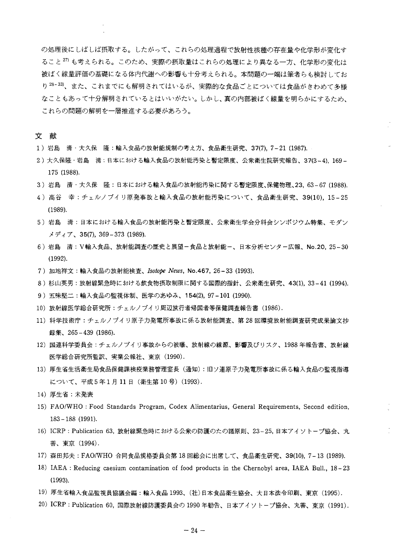の処理後にしばしば摂取する。したがって、これらの処理過程で放射性核種の存在量や化学形が変化す ること<sup>27)</sup>も考えられる。このため、実際の摂取量はこれらの処理により異なる一方、化学形の変化は 被ばく線量評価の基礎になる体内代謝への影響も十分考えられる。本問題の一端は筆者らも検討してお り<sup>28-33)</sup>、また、これまでにも解明されてはいるが、実際的な食品ごとについては食品がきわめて多様 なこともあって十分解明されているとはいいがたい。しかし、真の内部被ばく線量を明らかにするため、 これらの問題の解明を一層推進する必要があろう。

文献

- 1) 岩島 清·大久保 隆:輸入食品の放射能規制の考え方、食品衛生研究、37(7), 7-21 (1987).
- 2)大久保隆·岩島 清:日本における輸入食品の放射能汚染と暫定限度、公衆衛生院研究報告、37(3~4), 169-175 (1988).
- 3)岩島 清・大久保 隆:日本における輸入食品の放射能汚染に関する暫定限度、保健物理、23, 63−67 (1988).
- 4) 高谷 幸:チェルノブイリ原発事故と輸入食品の放射能汚染について、食品衛生研究、39(10), 15-25  $(1989).$
- 5)岩島 清:日本における輸入食品の放射能汚染と暫定限度、公衆衛生学会分科会シンポジウム特集、モダン メディア、35(7), 369-373 (1989).
- 6) 岩島 清: V輸入食品、放射能調査の歴史と展望-食品と放射能-、日本分析センター広報、No.20, 25-30  $(1992).$
- 7) 加地祥文:輸入食品の放射能検査、Isotope News, No.467, 26-33 (1993).
- 8)杉山英男:放射線緊急時における飲食物摂取制限に関する国際的指針、公衆衛生研究、43(1), 33-41 (1994).
- 9) 五味堅二:輸入食品の監視体制、医学のあゆみ、154(2), 97-101 (1990).
- 10) 放射線医学総合研究所:チェルノブイリ周辺旅行者帰国者等保健調査報告書 (1986).
- 11) 科学技術庁:チェルノブイリ原子力発電所事故に係る放射能調査、第28回環境放射能調査研究成果論文抄 録集、265-439 (1986).
- 12)国連科学委員会:チェルノブイリ事故からの被曝、放射線の線源、影響及びリスク、1988年報告書、放射線 医学総合研究所監訳、実業公報社、東京 (1990).
- 13) 厚生省生活衛生局食品保健課検疫業務管理室長(通知): 旧ソ連原子力発電所事故に係る輸入食品の監視指導 について、平成5年1月11日 (衛生第10号) (1993).
- 14) 厚生省:未発表
- 15) FAO/WHO : Food Standards Program, Codex Alimentarius, General Requirements, Second edition,  $183 - 188$  (1991).
- 16) ICRP : Publication 63, 放射線緊急時における公衆の防護のたの諸原則、23-25, 日本アイソトープ協会、丸 善、東京 (1994).
- 17) 森田邦夫: FAO/WHO 合同食品規格委員会第18回総会に出席して、食品衛生研究、39(10), 7-13 (1989).
- 18) IAEA : Reducing caesium contamination of food products in the Chernobyl area, IAEA Bull., 18-23  $(1993).$
- 19) 厚生省輸入食品監視員協議会編:輸入食品 1993、(社)日本食品衛生協会、大日本法令印刷、東京(1995).
- 20) ICRP : Publication 60, 国際放射線防護委員会の 1990 年勧告、日本アイソトープ協会、丸善、東京 (1991).